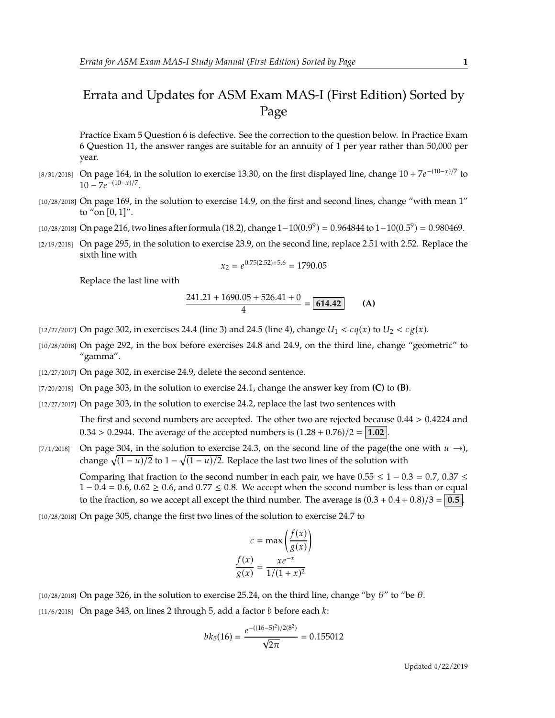## Errata and Updates for ASM Exam MAS-I (First Edition) Sorted by Page

Practice Exam 5 Question 6 is defective. See the correction to the question below. In Practice Exam 6 Question 11, the answer ranges are suitable for an annuity of 1 per year rather than 50,000 per year.

- [8/31/2018] On page 164, in the solution to exercise 13.30, on the first displayed line, change 10 + 7*e* −(10−*x*)/7 to  $10 - 7e^{-(10-x)/7}.$
- [10/28/2018] On page 169, in the solution to exercise 14.9, on the first and second lines, change "with mean 1" to "on [0, 1]".
- [10/28/2018] On page 216, two lines after formula (18.2), change  $1-10(0.9^9) = 0.964844$  to  $1-10(0.5^9) = 0.980469$ .
- [2/19/2018] On page 295, in the solution to exercise 23.9, on the second line, replace 2.51 with 2.52. Replace the sixth line with

$$
x_2 = e^{0.75(2.52) + 5.6} = 1790.05
$$

Replace the last line with

$$
\frac{241.21 + 1690.05 + 526.41 + 0}{4} = \boxed{614.42}
$$
 (A)

- [12/27/2017] On page 302, in exercises 24.4 (line 3) and 24.5 (line 4), change  $U_1 < c q(x)$  to  $U_2 < c g(x)$ .
- [10/28/2018] On page 292, in the box before exercises 24.8 and 24.9, on the third line, change "geometric" to "gamma".
- [12/27/2017] On page 302, in exercise 24.9, delete the second sentence.
- [7/20/2018] On page 303, in the solution to exercise 24.1, change the answer key from **(C)** to **(B)**.
- [12/27/2017] On page 303, in the solution to exercise 24.2, replace the last two sentences with

The first and second numbers are accepted. The other two are rejected because 0.44 > 0.4224 and  $0.34 > 0.2944$ . The average of the accepted numbers is  $(1.28 + 0.76)/2 = 1.02$ .

[7/1/2018] On page 304, in the solution to exercise 24.3, on the second line of the page(the one with  $u \rightarrow$ ), change  $\sqrt{(1 - u)/2}$  to  $1 - \sqrt{(1 - u)/2}$ . Replace the last two lines of the solution with

Comparing that fraction to the second number in each pair, we have  $0.55 \le 1 - 0.3 = 0.7$ ,  $0.37 \le$  $1 - 0.4 = 0.6$ ,  $0.62 \ge 0.6$ , and  $0.77 \le 0.8$ . We accept when the second number is less than or equal to the fraction, so we accept all except the third number. The average is  $(0.3 + 0.4 + 0.8)/3 = 0.5$ .

[10/28/2018] On page 305, change the first two lines of the solution to exercise 24.7 to

$$
c = \max\left(\frac{f(x)}{g(x)}\right)
$$

$$
\frac{f(x)}{g(x)} = \frac{xe^{-x}}{1/(1+x)^2}
$$

 $[10/28/2018]$  On page 326, in the solution to exercise 25.24, on the third line, change "by  $\theta$ " to "be  $\theta$ . [11/6/2018] On page 343, on lines 2 through 5, add a factor *b* before each *k*:

$$
bk_5(16) = \frac{e^{-((16-5)^2)/2(8^2)}}{\sqrt{2\pi}} = 0.155012
$$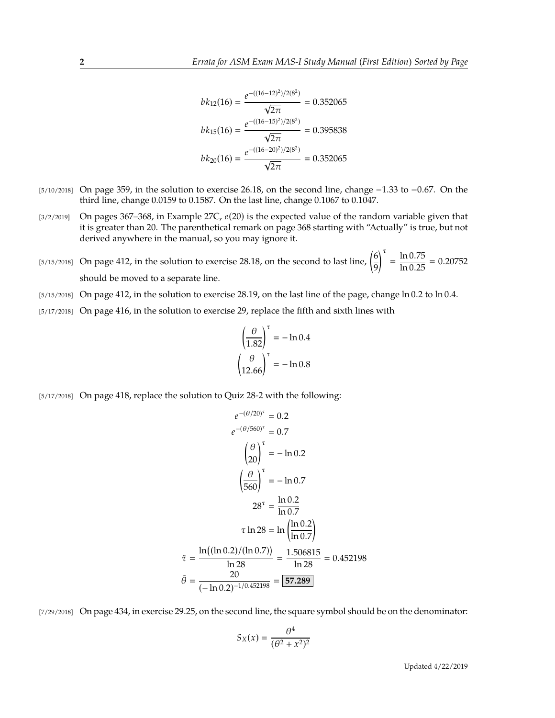$$
bk_{12}(16) = \frac{e^{-((16-12)^2)/2(8^2)}}{\sqrt{2\pi}} = 0.352065
$$

$$
bk_{15}(16) = \frac{e^{-((16-15)^2)/2(8^2)}}{\sqrt{2\pi}} = 0.395838
$$

$$
bk_{20}(16) = \frac{e^{-((16-20)^2)/2(8^2)}}{\sqrt{2\pi}} = 0.352065
$$

- [5/10/2018] On page 359, in the solution to exercise 26.18, on the second line, change −1.33 to −0.67. On the third line, change 0.0159 to 0.1587. On the last line, change 0.1067 to 0.1047.
- [3/2/2019] On pages 367–368, in Example 27C, *e*(20) is the expected value of the random variable given that it is greater than 20. The parenthetical remark on page 368 starting with "Actually" is true, but not derived anywhere in the manual, so you may ignore it.
- [5/15/2018] On page 412, in the solution to exercise 28.18, on the second to last line,  $\left(\frac{6}{5}\right)$ 9  $\int_0^{\tau} = \frac{\ln 0.75}{\ln 0.25} = 0.20752$ should be moved to a separate line.
- [5/15/2018] On page 412, in the solution to exercise 28.19, on the last line of the page, change ln 0.2 to ln 0.4.
- [5/17/2018] On page 416, in the solution to exercise 29, replace the fifth and sixth lines with

$$
\left(\frac{\theta}{1.82}\right)^{\tau} = -\ln 0.4
$$

$$
\left(\frac{\theta}{12.66}\right)^{\tau} = -\ln 0.8
$$

[5/17/2018] On page 418, replace the solution to Quiz 28-2 with the following:

$$
e^{-(\theta/20)^{\tau}} = 0.2
$$
  
\n
$$
e^{-(\theta/560)^{\tau}} = 0.7
$$
  
\n
$$
\left(\frac{\theta}{20}\right)^{\tau} = -\ln 0.2
$$
  
\n
$$
\left(\frac{\theta}{560}\right)^{\tau} = -\ln 0.7
$$
  
\n
$$
28^{\tau} = \frac{\ln 0.2}{\ln 0.7}
$$
  
\n
$$
\tau \ln 28 = \ln \left(\frac{\ln 0.2}{\ln 0.7}\right)
$$
  
\n
$$
\hat{\tau} = \frac{\ln ((\ln 0.2)/(\ln 0.7))}{\ln 28} = \frac{1.506815}{\ln 28} = 0.452198
$$
  
\n
$$
\hat{\theta} = \frac{20}{(-\ln 0.2)^{-1/0.452198}} = 57.289
$$

[7/29/2018] On page 434, in exercise 29.25, on the second line, the square symbol should be on the denominator:

$$
S_X(x) = \frac{\theta^4}{(\theta^2 + x^2)^2}
$$

Updated 4/22/2019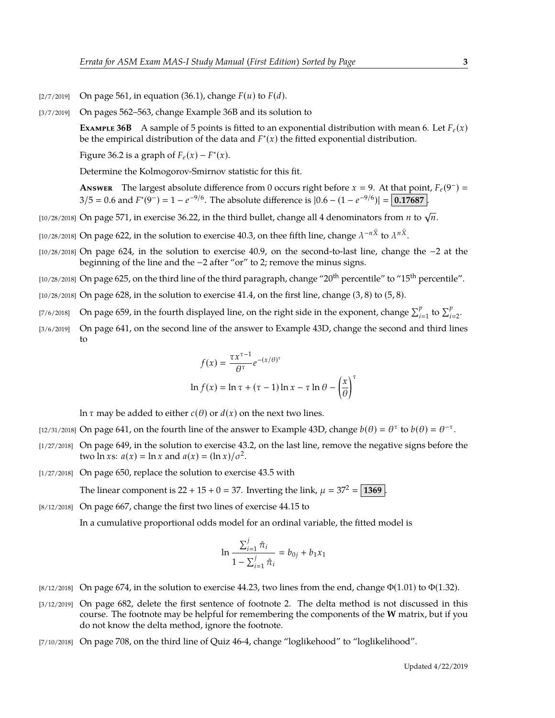- $[2/7/2019]$  On page 561, in equation (36.1), change  $F(u)$  to  $F(d)$ .
- [3/7/2019] On pages 562–563, change Example 36B and its solution to

**Example 36B** A sample of 5 points is fitted to an exponential distribution with mean 6. Let  $F_e(x)$ be the empirical distribution of the data and  $F^*(x)$  the fitted exponential distribution.

Figure 36.2 is a graph of  $F_e(x) - F^*(x)$ .

Determine the Kolmogorov-Smirnov statistic for this fit.

**ANSWER** The largest absolute difference from 0 occurs right before  $x = 9$ . At that point,  $F_e(9^-) =$  $3/5 = 0.6$  and  $F^*(9^-) = 1 - e^{-9/6}$ . The absolute difference is  $|0.6 - (1 - e^{-9/6})| = 0.17687$ .

- [10/28/2018] On page 571, in exercise 36.22, in the third bullet, change all 4 denominators from *<sup>n</sup>* to <sup>√</sup> *n*.
- [10/28/2018] On page 622, in the solution to exercise 40.3, on thee fifth line, change  $\lambda^{-n\bar{X}}$  to  $\lambda^{n\bar{X}}$ .
- [10/28/2018] On page 624, in the solution to exercise 40.9, on the second-to-last line, change the −2 at the beginning of the line and the −2 after "or" to 2; remove the minus signs.
- [10/28/2018] On page 625, on the third line of the third paragraph, change "20<sup>th</sup> percentile" to "15<sup>th</sup> percentile".
- $[10/28/2018]$  On page 628, in the solution to exercise 41.4, on the first line, change  $(3, 8)$  to  $(5, 8)$ .
- [7/6/2018] On page 659, in the fourth displayed line, on the right side in the exponent, change  $\sum_{i=1}^{p}$  to  $\sum_{i=2}^{p}$ .
- [3/6/2019] On page 641, on the second line of the answer to Example 43D, change the second and third lines to

$$
f(x) = \frac{\tau x^{\tau - 1}}{\theta^{\tau}} e^{-(x/\theta)^{\tau}}
$$
  
ln  $f(x) = \ln \tau + (\tau - 1) \ln x - \tau \ln \theta - \left(\frac{x}{\theta}\right)^{\tau}$ 

ln τ may be added to either *c*( $θ$ ) or *d*(*x*) on the next two lines.

- [12/31/2018] On page 641, on the fourth line of the answer to Example 43D, change  $b(\theta) = \theta^{\tau}$  to  $b(\theta) = \theta^{-\tau}$ .
- [1/27/2018] On page 649, in the solution to exercise 43.2, on the last line, remove the negative signs before the two  $\ln x$ s:  $a(x) = \ln x$  and  $a(x) = (\ln x)/\sigma^2$ .
- [1/27/2018] On page 650, replace the solution to exercise 43.5 with

The linear component is  $22 + 15 + 0 = 37$ . Inverting the link,  $\mu = 37^2 = 1369$ .

[8/12/2018] On page 667, change the first two lines of exercise 44.15 to

In a cumulative proportional odds model for an ordinal variable, the fitted model is

$$
\ln \frac{\sum_{i=1}^{j} \hat{\pi}_i}{1 - \sum_{i=1}^{j} \hat{\pi}_i} = b_{0j} + b_1 x_1
$$

- [8/12/2018] On page 674, in the solution to exercise 44.23, two lines from the end, change  $\Phi(1.01)$  to  $\Phi(1.32)$ .
- [3/12/2019] On page 682, delete the first sentence of footnote 2. The delta method is not discussed in this course. The footnote may be helpful for remembering the components of the **W** matrix, but if you do not know the delta method, ignore the footnote.
- [7/10/2018] On page 708, on the third line of Quiz 46-4, change "loglikehood" to "loglikelihood".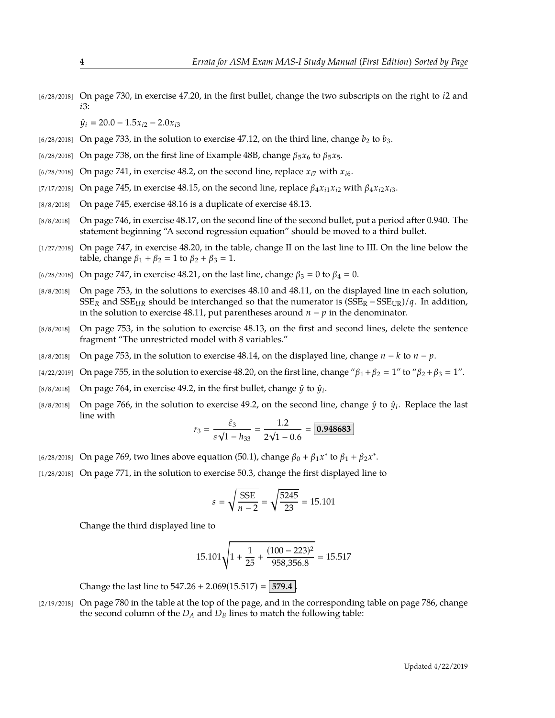[6/28/2018] On page 730, in exercise 47.20, in the first bullet, change the two subscripts on the right to *i*2 and *i*3:

 $\hat{y}_i = 20.0 - 1.5x_i - 2.0x_i$ 

- $[6/28/2018]$  On page 733, in the solution to exercise 47.12, on the third line, change  $b_2$  to  $b_3$ .
- [6/28/2018] On page 738, on the first line of Example 48B, change  $\beta_5 x_6$  to  $\beta_5 x_5$ .
- $\frac{16}{28}{2018}$  On page 741, in exercise 48.2, on the second line, replace  $x_{i7}$  with  $x_{i6}$ .
- [7/17/2018] On page 745, in exercise 48.15, on the second line, replace  $\beta_4 x_{i1} x_{i2}$  with  $\beta_4 x_{i2} x_{i3}$ .
- [8/8/2018] On page 745, exercise 48.16 is a duplicate of exercise 48.13.
- [8/8/2018] On page 746, in exercise 48.17, on the second line of the second bullet, put a period after 0.940. The statement beginning "A second regression equation" should be moved to a third bullet.
- [1/27/2018] On page 747, in exercise 48.20, in the table, change II on the last line to III. On the line below the table, change  $\beta_1 + \beta_2 = 1$  to  $\beta_2 + \beta_3 = 1$ .
- $[6/28/2018]$  On page 747, in exercise 48.21, on the last line, change  $β_3 = 0$  to  $β_4 = 0$ .
- [8/8/2018] On page 753, in the solutions to exercises 48.10 and 48.11, on the displayed line in each solution, SSE<sub>R</sub> and SSE<sub>UR</sub> should be interchanged so that the numerator is  $(SSE_R - SSE_{UR})/q$ . In addition, in the solution to exercise 48.11, put parentheses around *n* − *p* in the denominator.
- [8/8/2018] On page 753, in the solution to exercise 48.13, on the first and second lines, delete the sentence fragment "The unrestricted model with 8 variables."
- [8/8/2018] On page 753, in the solution to exercise 48.14, on the displayed line, change *n* − *k* to *n* − *p*.
- [4/22/2019] On page 755, in the solution to exercise 48.20, on the first line, change " $\beta_1 + \beta_2 = 1$ " to " $\beta_2 + \beta_3 = 1$ ".
- [8/8/2018] On page 764, in exercise 49.2, in the first bullet, change  $\hat{y}$  to  $\hat{y}_i$ .
- [8/8/2018] On page 766, in the solution to exercise 49.2, on the second line, change  $\hat{y}$  to  $\hat{y}_i$ . Replace the last line with

$$
r_3 = \frac{\hat{\varepsilon}_3}{s\sqrt{1 - h_{33}}} = \frac{1.2}{2\sqrt{1 - 0.6}} = \boxed{0.948683}
$$

- <sup>[6/28/2018]</sup> On page 769, two lines above equation (50.1), change  $β_0 + β_1x^*$  to  $β_1 + β_2x^*$ .
- [1/28/2018] On page 771, in the solution to exercise 50.3, change the first displayed line to

$$
s = \sqrt{\frac{\text{SSE}}{n-2}} = \sqrt{\frac{5245}{23}} = 15.101
$$

Change the third displayed line to

$$
15.101\sqrt{1+\frac{1}{25}+\frac{(100-223)^2}{958,356.8}} = 15.517
$$

Change the last line to  $547.26 + 2.069(15.517) = 579.4$ .

[2/19/2018] On page 780 in the table at the top of the page, and in the corresponding table on page 786, change the second column of the  $D_A$  and  $D_B$  lines to match the following table: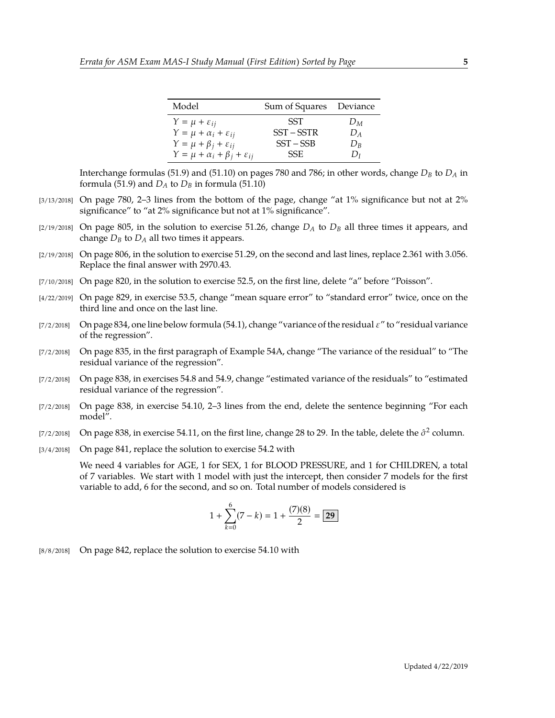| Model                                             | Sum of Squares Deviance |       |
|---------------------------------------------------|-------------------------|-------|
| $Y = \mu + \varepsilon_{ij}$                      | <b>SST</b>              | $D_M$ |
| $Y = \mu + \alpha_i + \varepsilon_{ij}$           | $SST - SSTR$            | $D_A$ |
| $Y = \mu + \beta_i + \varepsilon_{ij}$            | $SST - SSB$             | $D_R$ |
| $Y = \mu + \alpha_i + \beta_j + \varepsilon_{ij}$ | SSE.                    | $D_I$ |

Interchange formulas (51.9) and (51.10) on pages 780 and 786; in other words, change *D<sup>B</sup>* to *D<sup>A</sup>* in formula (51.9) and  $D_A$  to  $D_B$  in formula (51.10)

- [3/13/2018] On page 780, 2–3 lines from the bottom of the page, change "at 1% significance but not at 2% significance" to "at 2% significance but not at 1% significance".
- [2/19/2018] On page 805, in the solution to exercise 51.26, change *D<sup>A</sup>* to *D<sup>B</sup>* all three times it appears, and change  $D_B$  to  $D_A$  all two times it appears.
- [2/19/2018] On page 806, in the solution to exercise 51.29, on the second and last lines, replace 2.361 with 3.056. Replace the final answer with 2970.43.
- [7/10/2018] On page 820, in the solution to exercise 52.5, on the first line, delete "a" before "Poisson".
- [4/22/2019] On page 829, in exercise 53.5, change "mean square error" to "standard error" twice, once on the third line and once on the last line.
- [7/2/2018] On page 834, one line below formula (54.1), change "variance of the residual  $\varepsilon$ " to "residual variance of the regression".
- [7/2/2018] On page 835, in the first paragraph of Example 54A, change "The variance of the residual" to "The residual variance of the regression".
- [7/2/2018] On page 838, in exercises 54.8 and 54.9, change "estimated variance of the residuals" to "estimated residual variance of the regression".
- [7/2/2018] On page 838, in exercise 54.10, 2–3 lines from the end, delete the sentence beginning "For each model".
- [7/2/2018] On page 838, in exercise 54.11, on the first line, change 28 to 29. In the table, delete the  $\hat{\sigma}^2$  column.
- [3/4/2018] On page 841, replace the solution to exercise 54.2 with

We need 4 variables for AGE, 1 for SEX, 1 for BLOOD PRESSURE, and 1 for CHILDREN, a total of 7 variables. We start with 1 model with just the intercept, then consider 7 models for the first variable to add, 6 for the second, and so on. Total number of models considered is

$$
1 + \sum_{k=0}^{6} (7 - k) = 1 + \frac{(7)(8)}{2} = \boxed{29}
$$

[8/8/2018] On page 842, replace the solution to exercise 54.10 with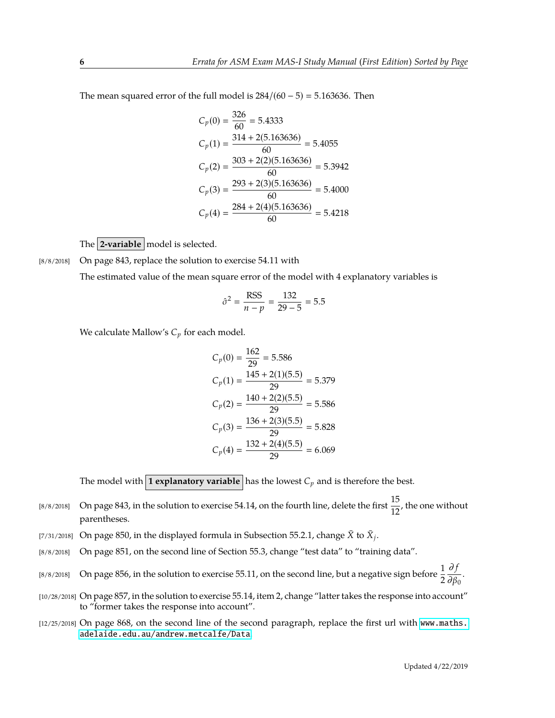The mean squared error of the full model is  $284/(60-5) = 5.163636$ . Then

$$
C_p(0) = \frac{326}{60} = 5.4333
$$
  
\n
$$
C_p(1) = \frac{314 + 2(5.163636)}{60} = 5.4055
$$
  
\n
$$
C_p(2) = \frac{303 + 2(2)(5.163636)}{60} = 5.3942
$$
  
\n
$$
C_p(3) = \frac{293 + 2(3)(5.163636)}{60} = 5.4000
$$
  
\n
$$
C_p(4) = \frac{284 + 2(4)(5.163636)}{60} = 5.4218
$$

The **2-variable** model is selected.

[8/8/2018] On page 843, replace the solution to exercise 54.11 with

The estimated value of the mean square error of the model with 4 explanatory variables is

$$
\hat{\sigma}^2 = \frac{\text{RSS}}{n - p} = \frac{132}{29 - 5} = 5.5
$$

We calculate Mallow's *C<sup>p</sup>* for each model.

$$
C_p(0) = \frac{162}{29} = 5.586
$$
  
\n
$$
C_p(1) = \frac{145 + 2(1)(5.5)}{29} = 5.379
$$
  
\n
$$
C_p(2) = \frac{140 + 2(2)(5.5)}{29} = 5.586
$$
  
\n
$$
C_p(3) = \frac{136 + 2(3)(5.5)}{29} = 5.828
$$
  
\n
$$
C_p(4) = \frac{132 + 2(4)(5.5)}{29} = 6.069
$$

The model with **1 explanatory variable** has the lowest  $C_p$  and is therefore the best.

- [8/8/2018] On page 843, in the solution to exercise 54.14, on the fourth line, delete the first  $\frac{15}{12}$ , the one without parentheses.
- [7/31/2018] On page 850, in the displayed formula in Subsection 55.2.1, change  $\bar{X}$  to  $\bar{X}_j$ .
- [8/8/2018] On page 851, on the second line of Section 55.3, change "test data" to "training data".
- [8/8/2018] On page 856, in the solution to exercise 55.11, on the second line, but a negative sign before  $\frac{1}{2}$ ∂ *f*  $\frac{\partial}{\partial \beta_0}$ .
- [10/28/2018] On page 857, in the solution to exercise 55.14, item 2, change "latter takes the response into account" to "former takes the response into account".
- [12/25/2018] On page 868, on the second line of the second paragraph, replace the first url with [www.maths.](www.maths.adelaide.edu.au/andrew.metcalfe/Data) [adelaide.edu.au/andrew.metcalfe/Data](www.maths.adelaide.edu.au/andrew.metcalfe/Data).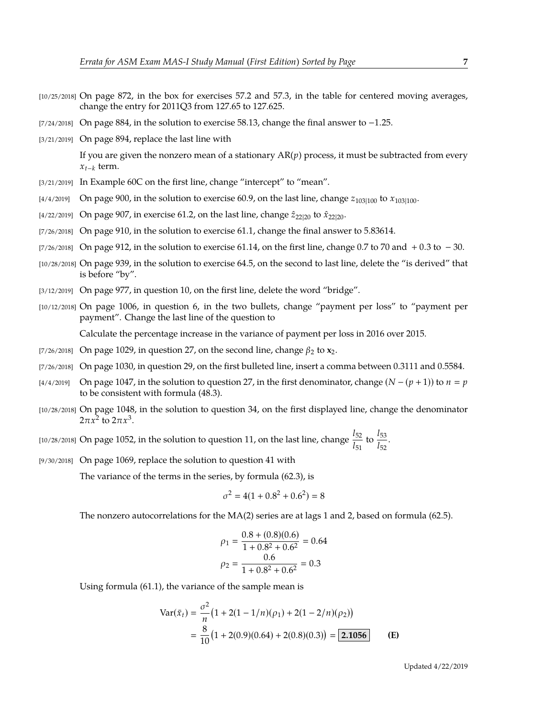- [10/25/2018] On page 872, in the box for exercises 57.2 and 57.3, in the table for centered moving averages, change the entry for 2011Q3 from 127.65 to 127.625.
- [7/24/2018] On page 884, in the solution to exercise 58.13, change the final answer to −1.25.
- [3/21/2019] On page 894, replace the last line with

If you are given the nonzero mean of a stationary  $AR(p)$  process, it must be subtracted from every *xt*−*<sup>k</sup>* term.

- [3/21/2019] In Example 60C on the first line, change "intercept" to "mean".
- $[4/4/2019]$  On page 900, in the solution to exercise 60.9, on the last line, change  $z_{103|100}$  to  $x_{103|100}$ .
- [4/22/2019] On page 907, in exercise 61.2, on the last line, change  $\hat{z}_{22|20}$  to  $\hat{x}_{22|20}$ .
- [7/26/2018] On page 910, in the solution to exercise 61.1, change the final answer to 5.83614.
- [7/26/2018] On page 912, in the solution to exercise 61.14, on the first line, change 0.7 to 70 and + 0.3 to  $-30$ .
- [10/28/2018] On page 939, in the solution to exercise 64.5, on the second to last line, delete the "is derived" that is before "by".
- [3/12/2019] On page 977, in question 10, on the first line, delete the word "bridge".
- [10/12/2018] On page 1006, in question 6, in the two bullets, change "payment per loss" to "payment per payment". Change the last line of the question to

Calculate the percentage increase in the variance of payment per loss in 2016 over 2015.

- [7/26/2018] On page 1029, in question 27, on the second line, change  $\beta_2$  to  $\mathbf{x}_2$ .
- [7/26/2018] On page 1030, in question 29, on the first bulleted line, insert a comma between 0.3111 and 0.5584.
- [4/4/2019] On page 1047, in the solution to question 27, in the first denominator, change (*N* − (*p* + 1)) to *n p* to be consistent with formula (48.3).
- [10/28/2018] On page 1048, in the solution to question 34, on the first displayed line, change the denominator  $2\pi x^2$  to  $2\pi x^3$ .

[10/28/2018] On page 1052, in the solution to question 11, on the last line, change  $\frac{l_{52}}{l_{51}}$  to  $\frac{l_{53}}{l_{52}}$  $\frac{1}{l_{52}}$ .

[9/30/2018] On page 1069, replace the solution to question 41 with

The variance of the terms in the series, by formula (62.3), is

$$
\sigma^2 = 4(1 + 0.8^2 + 0.6^2) = 8
$$

The nonzero autocorrelations for the MA(2) series are at lags 1 and 2, based on formula (62.5).

$$
\rho_1 = \frac{0.8 + (0.8)(0.6)}{1 + 0.8^2 + 0.6^2} = 0.64
$$
  

$$
\rho_2 = \frac{0.6}{1 + 0.8^2 + 0.6^2} = 0.3
$$

Using formula (61.1), the variance of the sample mean is

$$
\begin{aligned} \text{Var}(\bar{x}_t) &= \frac{\sigma^2}{n} \left( 1 + 2(1 - 1/n)(\rho_1) + 2(1 - 2/n)(\rho_2) \right) \\ &= \frac{8}{10} \left( 1 + 2(0.9)(0.64) + 2(0.8)(0.3) \right) = \boxed{2.1056} \end{aligned} \tag{E}
$$